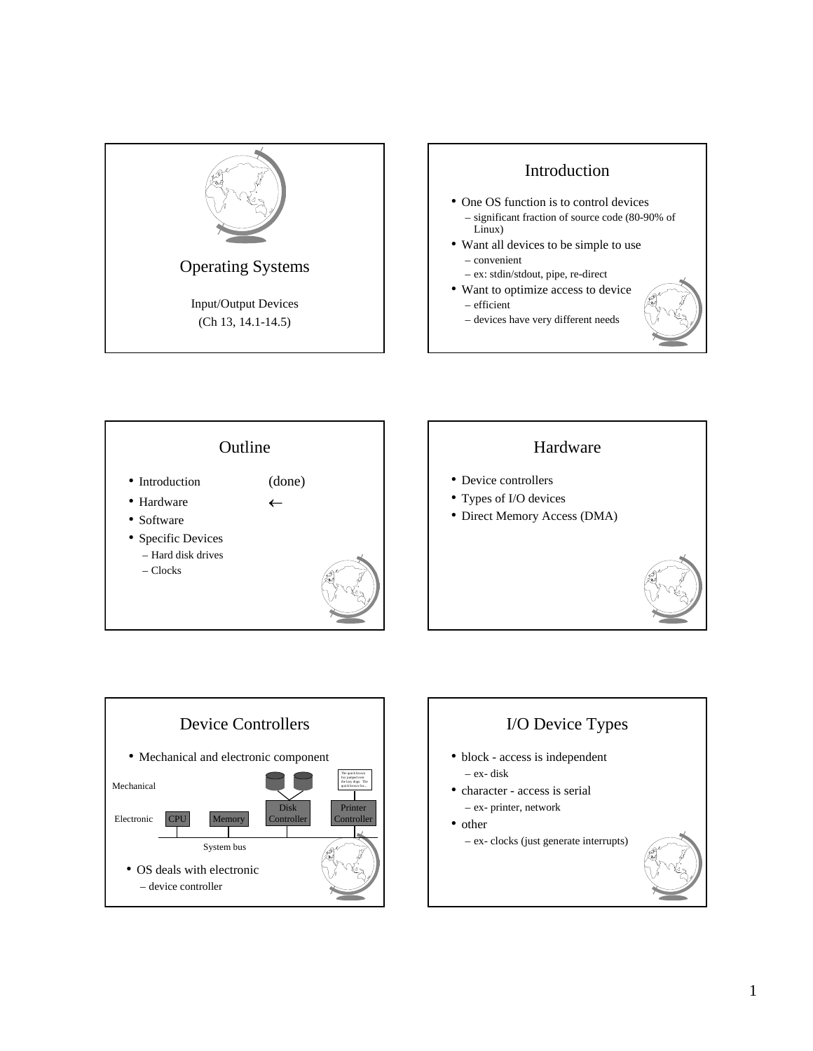







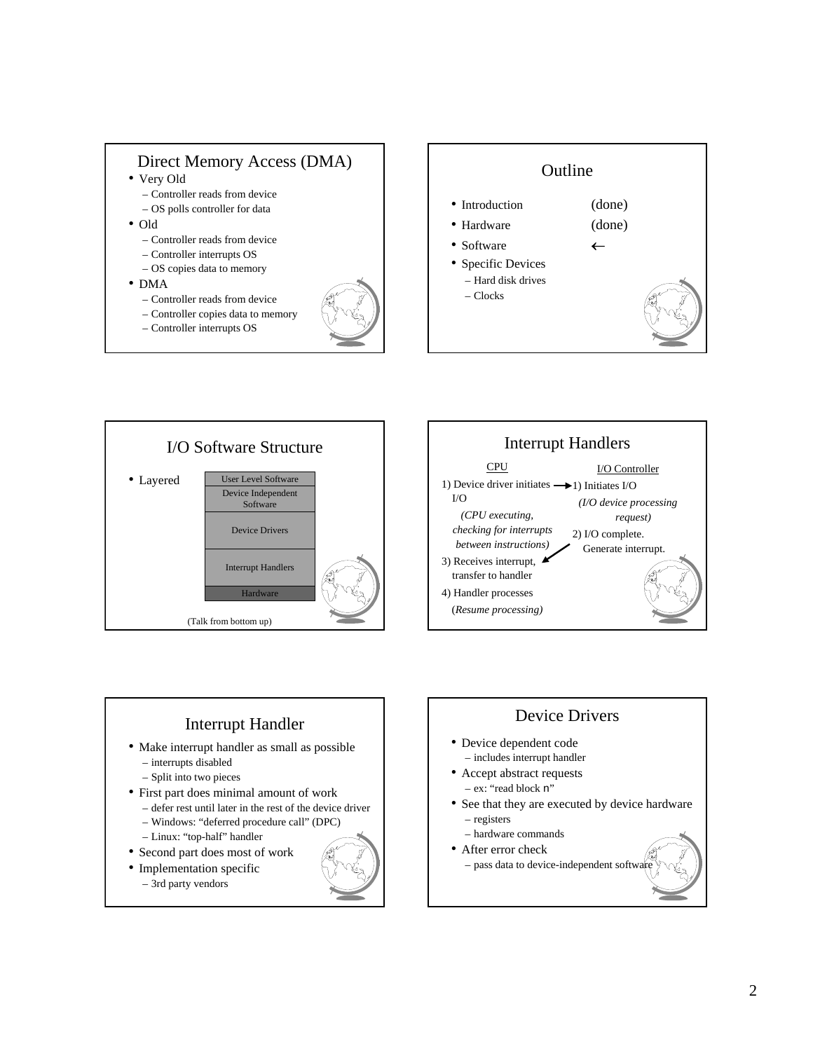









- defer rest until later in the rest of the device driver
	- Windows: "deferred procedure call" (DPC)
	- Linux: "top-half" handler
- Second part does most of work
- Implementation specific
	- 3rd party vendors



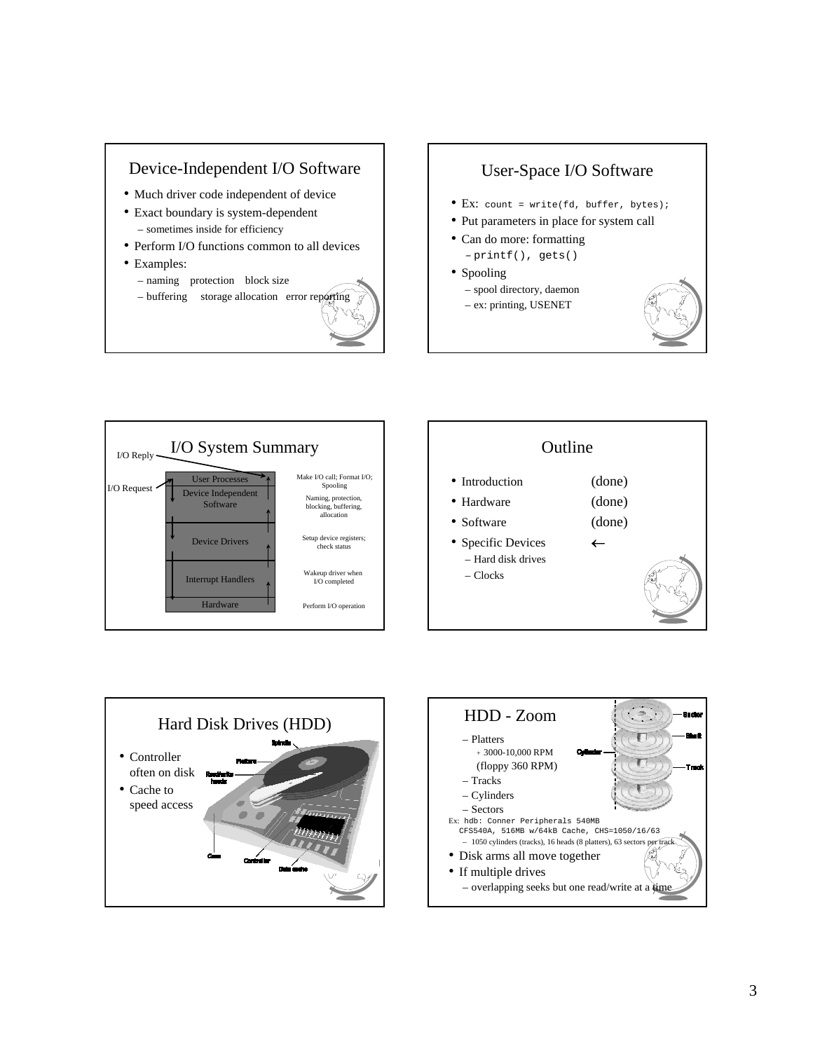## Device-Independent I/O Software

- Much driver code independent of device
- Exact boundary is system-dependent – sometimes inside for efficiency
- Perform I/O functions common to all devices
- Examples:
	- naming protection block size
	- $-$  buffering storage allocation error rep



## User-Space I/O Software

- Ex: count = write(fd, buffer, bytes);
- Put parameters in place for system call
- Can do more: formatting – printf(), gets()
- Spooling
	- spool directory, daemon
	- ex: printing, USENET









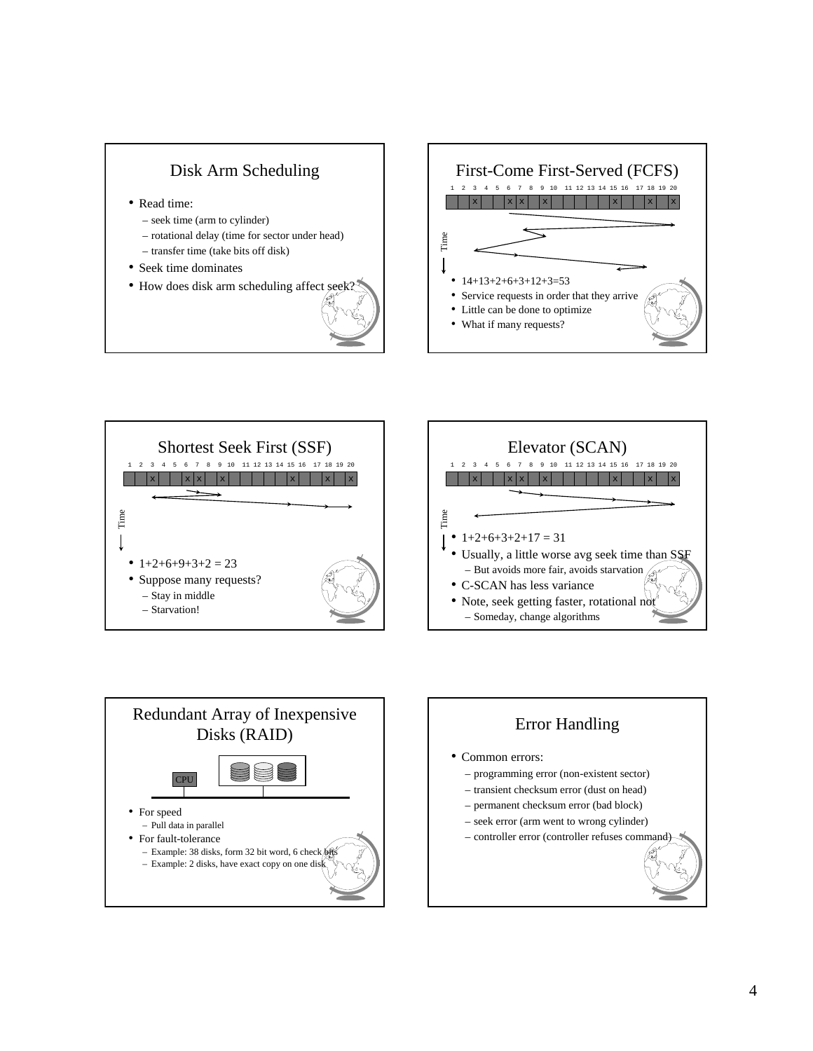